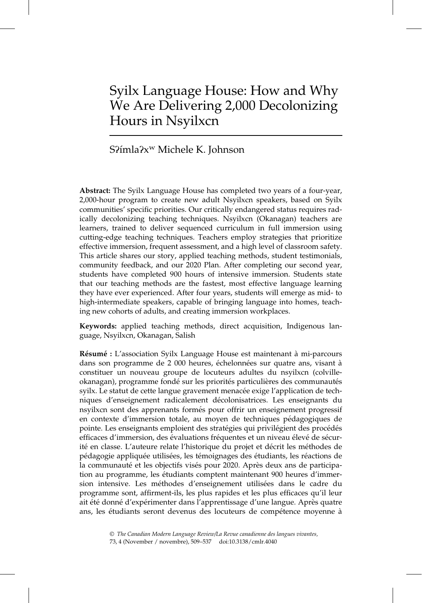# Syilx Language House: How and Why We Are Delivering 2,000 Decolonizing Hours in Nsyilxcn

## S?ímla?x<sup>w</sup> Michele K. Johnson

Abstract: The Syilx Language House has completed two years of a four-year, 2,000-hour program to create new adult Nsyilxcn speakers, based on Syilx communities' specific priorities. Our critically endangered status requires radically decolonizing teaching techniques. Nsyilxcn (Okanagan) teachers are learners, trained to deliver sequenced curriculum in full immersion using cutting-edge teaching techniques. Teachers employ strategies that prioritize effective immersion, frequent assessment, and a high level of classroom safety. This article shares our story, applied teaching methods, student testimonials, community feedback, and our 2020 Plan. After completing our second year, students have completed 900 hours of intensive immersion. Students state that our teaching methods are the fastest, most effective language learning they have ever experienced. After four years, students will emerge as mid- to high-intermediate speakers, capable of bringing language into homes, teaching new cohorts of adults, and creating immersion workplaces.

Keywords: applied teaching methods, direct acquisition, Indigenous language, Nsyilxcn, Okanagan, Salish

Résumé : L'association Syilx Language House est maintenant à mi-parcours dans son programme de 2 000 heures, échelonnées sur quatre ans, visant à constituer un nouveau groupe de locuteurs adultes du nsyilxcn (colvilleokanagan), programme fondé sur les priorités particulières des communautés syilx. Le statut de cette langue gravement menacée exige l'application de techniques d'enseignement radicalement décolonisatrices. Les enseignants du nsyilxcn sont des apprenants formés pour offrir un enseignement progressif en contexte d'immersion totale, au moyen de techniques pédagogiques de pointe. Les enseignants emploient des stratégies qui privilégient des procédés efficaces d'immersion, des évaluations fréquentes et un niveau élevé de sécurité en classe. L'auteure relate l'historique du projet et décrit les méthodes de pédagogie appliquée utilisées, les témoignages des étudiants, les réactions de la communauté et les objectifs visés pour 2020. Après deux ans de participation au programme, les étudiants comptent maintenant 900 heures d'immersion intensive. Les méthodes d'enseignement utilisées dans le cadre du programme sont, affirment-ils, les plus rapides et les plus efficaces qu'il leur ait été donné d'expérimenter dans l'apprentissage d'une langue. Après quatre ans, les étudiants seront devenus des locuteurs de compétence moyenne à

<sup>©</sup> The Canadian Modern Language Review/La Revue canadienne des langues vivantes,

<sup>73, 4 (</sup>November / novembre), 509–537 doi:10.3138/cmlr.4040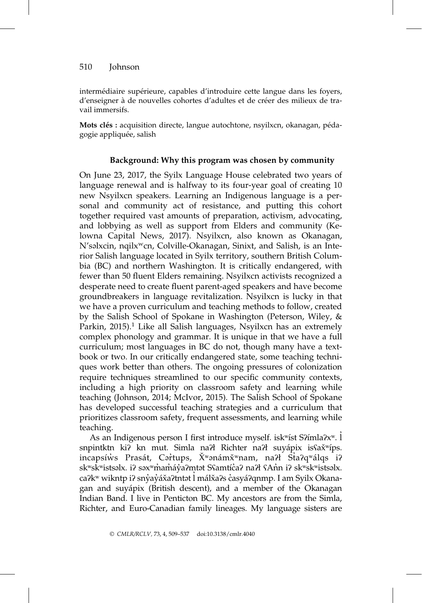intermédiaire supérieure, capables d'introduire cette langue dans les foyers, d'enseigner à de nouvelles cohortes d'adultes et de créer des milieux de travail immersifs.

Mots clés : acquisition directe, langue autochtone, nsyilxcn, okanagan, pédagogie appliquée, salish

#### Background: Why this program was chosen by community

On June 23, 2017, the Syilx Language House celebrated two years of language renewal and is halfway to its four-year goal of creating 10 new Nsyilxcn speakers. Learning an Indigenous language is a personal and community act of resistance, and putting this cohort together required vast amounts of preparation, activism, advocating, and lobbying as well as support from Elders and community (Kelowna Capital News, 2017). Nsyilxcn, also known as Okanagan, N'səlxcin, nqilxwcn, Colville-Okanagan, Sinixt, and Salish, is an Interior Salish language located in Syilx territory, southern British Columbia (BC) and northern Washington. It is critically endangered, with fewer than 50 fluent Elders remaining. Nsyilxcn activists recognized a desperate need to create fluent parent-aged speakers and have become groundbreakers in language revitalization. Nsyilxcn is lucky in that we have a proven curriculum and teaching methods to follow, created by the Salish School of Spokane in Washington (Peterson, Wiley, & Parkin,  $2015$ .<sup>1</sup> Like all Salish languages, Nsyilxcn has an extremely complex phonology and grammar. It is unique in that we have a full curriculum; most languages in BC do not, though many have a textbook or two. In our critically endangered state, some teaching techniques work better than others. The ongoing pressures of colonization require techniques streamlined to our specific community contexts, including a high priority on classroom safety and learning while teaching (Johnson, 2014; McIvor, 2015). The Salish School of Spokane has developed successful teaching strategies and a curriculum that prioritizes classroom safety, frequent assessments, and learning while teaching.

As an Indigenous person I first introduce myself. isk<sup>w</sup>íst S?ímla?x<sup>w</sup>. l snpintktn ki? kn mut. Simla na?ł Richter na?ł suyápix is $a\tilde{x}$ <sup>w</sup>íps. incapsíẁs Prasát, Cər̓tups, X̌ʷənámx̌ʷnam, naʔł Staʔqʷálqs iʔ skʷskʷistsəlx. iʔ səxʷm̓am̓áy̓aʔm̩tət Sʕamtíc̓aʔ naʔł ʕAn̓n iʔ skʷskʷistsəlx. caʔkʷ wikntp iʔ snỷaỷáǎaʔtntət l̓ málǎaʔs c̓asyáʔqnmp. I am Syilx Okanagan and suyápix (British descent), and a member of the Okanagan Indian Band. I live in Penticton BC. My ancestors are from the Simla, Richter, and Euro-Canadian family lineages. My language sisters are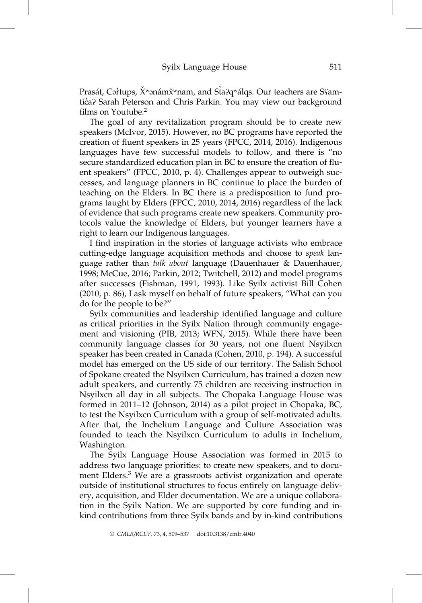Prasát, Cər̓tups, X̌ʷənámx̌ʷnam, and St̓aʔqʷálqs. Our teachers are Sʕamtíca? Sarah Peterson and Chris Parkin. You may view our background films on Youtube.2

The goal of any revitalization program should be to create new speakers (McIvor, 2015). However, no BC programs have reported the creation of fluent speakers in 25 years (FPCC, 2014, 2016). Indigenous languages have few successful models to follow, and there is "no secure standardized education plan in BC to ensure the creation of fluent speakers" (FPCC, 2010, p. 4). Challenges appear to outweigh successes, and language planners in BC continue to place the burden of teaching on the Elders. In BC there is a predisposition to fund programs taught by Elders (FPCC, 2010, 2014, 2016) regardless of the lack of evidence that such programs create new speakers. Community protocols value the knowledge of Elders, but younger learners have a right to learn our Indigenous languages.

I find inspiration in the stories of language activists who embrace cutting-edge language acquisition methods and choose to speak language rather than talk about language (Dauenhauer & Dauenhauer, 1998; McCue, 2016; Parkin, 2012; Twitchell, 2012) and model programs after successes (Fishman, 1991, 1993). Like Syilx activist Bill Cohen (2010, p. 86), I ask myself on behalf of future speakers, "What can you do for the people to be?"

Syilx communities and leadership identified language and culture as critical priorities in the Syilx Nation through community engagement and visioning (PIB, 2013; WFN, 2015). While there have been community language classes for 30 years, not one fluent Nsyilxcn speaker has been created in Canada (Cohen, 2010, p. 194). A successful model has emerged on the US side of our territory. The Salish School of Spokane created the Nsyilxcn Curriculum, has trained a dozen new adult speakers, and currently 75 children are receiving instruction in Nsyilxcn all day in all subjects. The Chopaka Language House was formed in 2011–12 (Johnson, 2014) as a pilot project in Chopaka, BC, to test the Nsyilxcn Curriculum with a group of self-motivated adults. After that, the Inchelium Language and Culture Association was founded to teach the Nsyilxcn Curriculum to adults in Inchelium, Washington.

The Syilx Language House Association was formed in 2015 to address two language priorities: to create new speakers, and to document Elders.<sup>3</sup> We are a grassroots activist organization and operate outside of institutional structures to focus entirely on language delivery, acquisition, and Elder documentation. We are a unique collaboration in the Syilx Nation. We are supported by core funding and inkind contributions from three Syilx bands and by in-kind contributions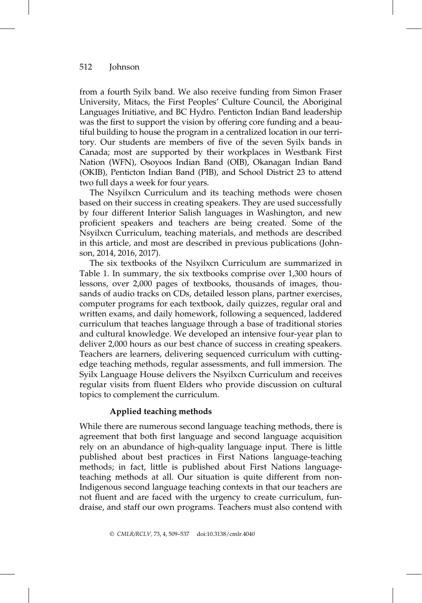from a fourth Syilx band. We also receive funding from Simon Fraser University, Mitacs, the First Peoples' Culture Council, the Aboriginal Languages Initiative, and BC Hydro. Penticton Indian Band leadership was the first to support the vision by offering core funding and a beautiful building to house the program in a centralized location in our territory. Our students are members of five of the seven Syilx bands in Canada; most are supported by their workplaces in Westbank First Nation (WFN), Osoyoos Indian Band (OIB), Okanagan Indian Band (OKIB), Penticton Indian Band (PIB), and School District 23 to attend two full days a week for four years.

The Nsyilxcn Curriculum and its teaching methods were chosen based on their success in creating speakers. They are used successfully by four different Interior Salish languages in Washington, and new proficient speakers and teachers are being created. Some of the Nsyilxcn Curriculum, teaching materials, and methods are described in this article, and most are described in previous publications (Johnson, 2014, 2016, 2017).

The six textbooks of the Nsyilxcn Curriculum are summarized in Table 1. In summary, the six textbooks comprise over 1,300 hours of lessons, over 2,000 pages of textbooks, thousands of images, thousands of audio tracks on CDs, detailed lesson plans, partner exercises, computer programs for each textbook, daily quizzes, regular oral and written exams, and daily homework, following a sequenced, laddered curriculum that teaches language through a base of traditional stories and cultural knowledge. We developed an intensive four-year plan to deliver 2,000 hours as our best chance of success in creating speakers. Teachers are learners, delivering sequenced curriculum with cuttingedge teaching methods, regular assessments, and full immersion. The Syilx Language House delivers the Nsyilxcn Curriculum and receives regular visits from fluent Elders who provide discussion on cultural topics to complement the curriculum.

#### Applied teaching methods

While there are numerous second language teaching methods, there is agreement that both first language and second language acquisition rely on an abundance of high-quality language input. There is little published about best practices in First Nations language-teaching methods; in fact, little is published about First Nations languageteaching methods at all. Our situation is quite different from non-Indigenous second language teaching contexts in that our teachers are not fluent and are faced with the urgency to create curriculum, fundraise, and staff our own programs. Teachers must also contend with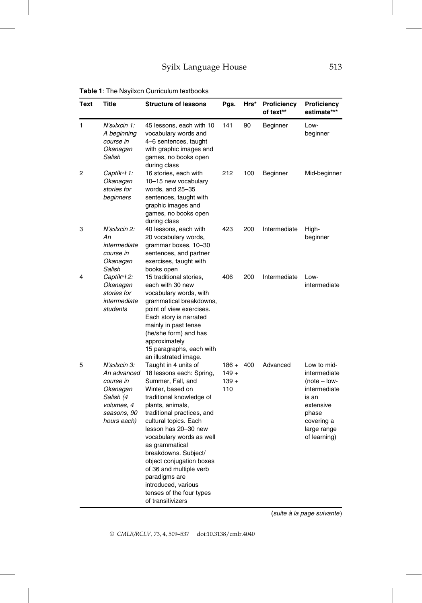| Text | <b>Title</b>                                                                                                  | <b>Structure of lessons</b>                                                                                                                                                                                                                                                                                                                                                                                                                    | Pgs.                                 | Hrs* | Proficiency<br>of text** | Proficiency<br>estimate***                                                                                                                |
|------|---------------------------------------------------------------------------------------------------------------|------------------------------------------------------------------------------------------------------------------------------------------------------------------------------------------------------------------------------------------------------------------------------------------------------------------------------------------------------------------------------------------------------------------------------------------------|--------------------------------------|------|--------------------------|-------------------------------------------------------------------------------------------------------------------------------------------|
| 1    | N'səlxcin 1:<br>A beginning<br>course in<br>Okanagan<br>Salish                                                | 45 lessons, each with 10<br>vocabulary words and<br>4-6 sentences, taught<br>with graphic images and<br>games, no books open<br>during class                                                                                                                                                                                                                                                                                                   | 141                                  | 90   | Beginner                 | Low-<br>beginner                                                                                                                          |
| 2    | Captík <sup>w</sup> ł 1:<br>Okanagan<br>stories for<br>beginners                                              | 16 stories, each with<br>10-15 new vocabulary<br>words, and 25-35<br>sentences, taught with<br>graphic images and<br>games, no books open<br>during class                                                                                                                                                                                                                                                                                      | 212                                  | 100  | Beginner                 | Mid-beginner                                                                                                                              |
| 3    | N'səlxcin 2:<br>Аn<br>intermediate<br>course in<br>Okanagan<br>Salish                                         | 40 lessons, each with<br>20 vocabulary words,<br>grammar boxes, 10-30<br>sentences, and partner<br>exercises, taught with<br>books open                                                                                                                                                                                                                                                                                                        | 423                                  | 200  | Intermediate             | High-<br>beginner                                                                                                                         |
| 4    | Captík <sup>w</sup> ł 2:<br>Okanagan<br>stories for<br>intermediate<br>students                               | 15 traditional stories,<br>each with 30 new<br>vocabulary words, with<br>grammatical breakdowns,<br>point of view exercises.<br>Each story is narrated<br>mainly in past tense<br>(he/she form) and has<br>approximately<br>15 paragraphs, each with<br>an illustrated image.                                                                                                                                                                  | 406                                  | 200  | Intermediate             | Low-<br>intermediate                                                                                                                      |
| 5    | N'salxcin 3:<br>An advanced<br>course in<br>Okanagan<br>Salish (4<br>volumes, 4<br>seasons, 90<br>hours each) | Taught in 4 units of<br>18 lessons each: Spring,<br>Summer, Fall, and<br>Winter, based on<br>traditional knowledge of<br>plants, animals,<br>traditional practices, and<br>cultural topics. Each<br>lesson has 20-30 new<br>vocabulary words as well<br>as grammatical<br>breakdowns. Subject/<br>object conjugation boxes<br>of 36 and multiple verb<br>paradigms are<br>introduced, various<br>tenses of the four types<br>of transitivizers | $186 +$<br>$149 +$<br>$139 +$<br>110 | 400  | Advanced                 | Low to mid-<br>intermediate<br>$(note - low-$<br>intermediate<br>is an<br>extensive<br>phase<br>covering a<br>large range<br>of learning) |

Table 1: The Nsyilxcn Curriculum textbooks

(suite à la page suivante)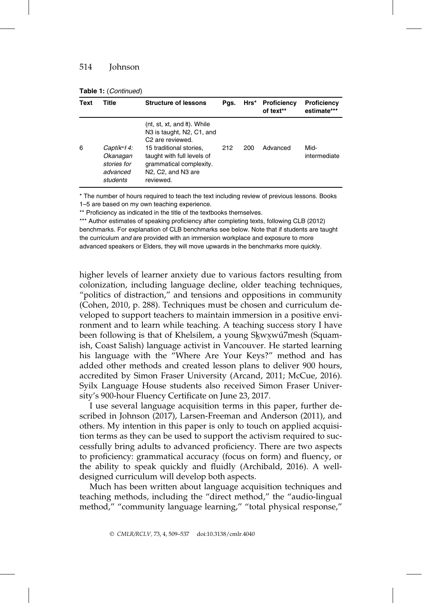| <b>Table 1: (Continued)</b> |  |
|-----------------------------|--|
|-----------------------------|--|

| Text | Title                                                                       | <b>Structure of lessons</b>                                                                                                                                                                                                                                                                 | Pgs. | Hrs* | <b>Proficiency</b><br>of text** | Proficiency<br>estimate*** |
|------|-----------------------------------------------------------------------------|---------------------------------------------------------------------------------------------------------------------------------------------------------------------------------------------------------------------------------------------------------------------------------------------|------|------|---------------------------------|----------------------------|
| 6    | Captík <sup>w</sup> ł 4:<br>Okanagan<br>stories for<br>advanced<br>students | (nt, st, xt, and it). While<br>N <sub>3</sub> is taught, N <sub>2</sub> , C <sub>1</sub> , and<br>C <sub>2</sub> are reviewed.<br>15 traditional stories.<br>taught with full levels of<br>grammatical complexity.<br>N <sub>2</sub> , C <sub>2</sub> , and N <sub>3</sub> are<br>reviewed. | 212  | 200  | Advanced                        | Mid-<br>intermediate       |

\* The number of hours required to teach the text including review of previous lessons. Books 1–5 are based on my own teaching experience.

\*\* Proficiency as indicated in the title of the textbooks themselves.

\*\*\* Author estimates of speaking proficiency after completing texts, following CLB (2012) benchmarks. For explanation of CLB benchmarks see below. Note that if students are taught the curriculum and are provided with an immersion workplace and exposure to more advanced speakers or Elders, they will move upwards in the benchmarks more quickly.

higher levels of learner anxiety due to various factors resulting from colonization, including language decline, older teaching techniques, "politics of distraction," and tensions and oppositions in community (Cohen, 2010, p. 288). Techniques must be chosen and curriculum developed to support teachers to maintain immersion in a positive environment and to learn while teaching. A teaching success story I have been following is that of Khelsilem, a young Skwxwu<sup>7</sup>mesh (Squamish, Coast Salish) language activist in Vancouver. He started learning his language with the "Where Are Your Keys?" method and has added other methods and created lesson plans to deliver 900 hours, accredited by Simon Fraser University (Arcand, 2011; McCue, 2016). Syilx Language House students also received Simon Fraser University's 900-hour Fluency Certificate on June 23, 2017.

I use several language acquisition terms in this paper, further described in Johnson (2017), Larsen-Freeman and Anderson (2011), and others. My intention in this paper is only to touch on applied acquisition terms as they can be used to support the activism required to successfully bring adults to advanced proficiency. There are two aspects to proficiency: grammatical accuracy (focus on form) and fluency, or the ability to speak quickly and fluidly (Archibald, 2016). A welldesigned curriculum will develop both aspects.

Much has been written about language acquisition techniques and teaching methods, including the "direct method," the "audio-lingual method," "community language learning," "total physical response,"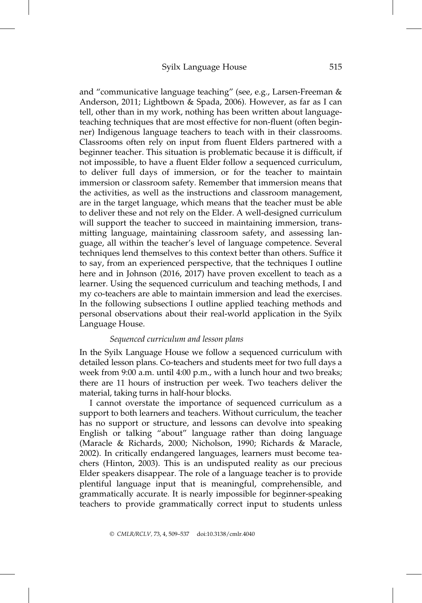and "communicative language teaching" (see, e.g., Larsen-Freeman & Anderson, 2011; Lightbown & Spada, 2006). However, as far as I can tell, other than in my work, nothing has been written about languageteaching techniques that are most effective for non-fluent (often beginner) Indigenous language teachers to teach with in their classrooms. Classrooms often rely on input from fluent Elders partnered with a beginner teacher. This situation is problematic because it is difficult, if not impossible, to have a fluent Elder follow a sequenced curriculum, to deliver full days of immersion, or for the teacher to maintain immersion or classroom safety. Remember that immersion means that the activities, as well as the instructions and classroom management, are in the target language, which means that the teacher must be able to deliver these and not rely on the Elder. A well-designed curriculum will support the teacher to succeed in maintaining immersion, transmitting language, maintaining classroom safety, and assessing language, all within the teacher's level of language competence. Several techniques lend themselves to this context better than others. Suffice it to say, from an experienced perspective, that the techniques I outline here and in Johnson (2016, 2017) have proven excellent to teach as a learner. Using the sequenced curriculum and teaching methods, I and my co-teachers are able to maintain immersion and lead the exercises. In the following subsections I outline applied teaching methods and personal observations about their real-world application in the Syilx Language House.

## Sequenced curriculum and lesson plans

In the Syilx Language House we follow a sequenced curriculum with detailed lesson plans. Co-teachers and students meet for two full days a week from 9:00 a.m. until 4:00 p.m., with a lunch hour and two breaks; there are 11 hours of instruction per week. Two teachers deliver the material, taking turns in half-hour blocks.

I cannot overstate the importance of sequenced curriculum as a support to both learners and teachers. Without curriculum, the teacher has no support or structure, and lessons can devolve into speaking English or talking "about" language rather than doing language (Maracle & Richards, 2000; Nicholson, 1990; Richards & Maracle, 2002). In critically endangered languages, learners must become teachers (Hinton, 2003). This is an undisputed reality as our precious Elder speakers disappear. The role of a language teacher is to provide plentiful language input that is meaningful, comprehensible, and grammatically accurate. It is nearly impossible for beginner-speaking teachers to provide grammatically correct input to students unless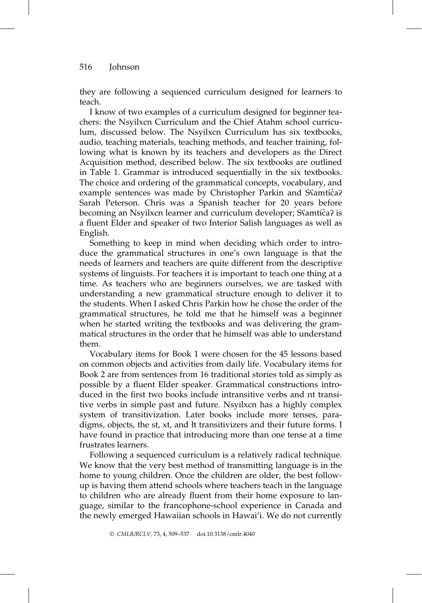they are following a sequenced curriculum designed for learners to teach.

I know of two examples of a curriculum designed for beginner teachers: the Nsyilxcn Curriculum and the Chief Atahm school curriculum, discussed below. The Nsyilxcn Curriculum has six textbooks, audio, teaching materials, teaching methods, and teacher training, following what is known by its teachers and developers as the Direct Acquisition method, described below. The six textbooks are outlined in Table 1. Grammar is introduced sequentially in the six textbooks. The choice and ordering of the grammatical concepts, vocabulary, and example sentences was made by Christopher Parkin and Sfamtíc≀a? Sarah Peterson. Chris was a Spanish teacher for 20 years before becoming an Nsyilxcn learner and curriculum developer; Sʕamtíċaʔ is a fluent Elder and speaker of two Interior Salish languages as well as English.

Something to keep in mind when deciding which order to introduce the grammatical structures in one's own language is that the needs of learners and teachers are quite different from the descriptive systems of linguists. For teachers it is important to teach one thing at a time. As teachers who are beginners ourselves, we are tasked with understanding a new grammatical structure enough to deliver it to the students. When I asked Chris Parkin how he chose the order of the grammatical structures, he told me that he himself was a beginner when he started writing the textbooks and was delivering the grammatical structures in the order that he himself was able to understand them.

Vocabulary items for Book 1 were chosen for the 45 lessons based on common objects and activities from daily life. Vocabulary items for Book 2 are from sentences from 16 traditional stories told as simply as possible by a fluent Elder speaker. Grammatical constructions introduced in the first two books include intransitive verbs and nt transitive verbs in simple past and future. Nsyilxcn has a highly complex system of transitivization. Later books include more tenses, paradigms, objects, the st, xt, and łt transitivizers and their future forms. I have found in practice that introducing more than one tense at a time frustrates learners.

Following a sequenced curriculum is a relatively radical technique. We know that the very best method of transmitting language is in the home to young children. Once the children are older, the best followup is having them attend schools where teachers teach in the language to children who are already fluent from their home exposure to language, similar to the francophone-school experience in Canada and the newly emerged Hawaiian schools in Hawai'i. We do not currently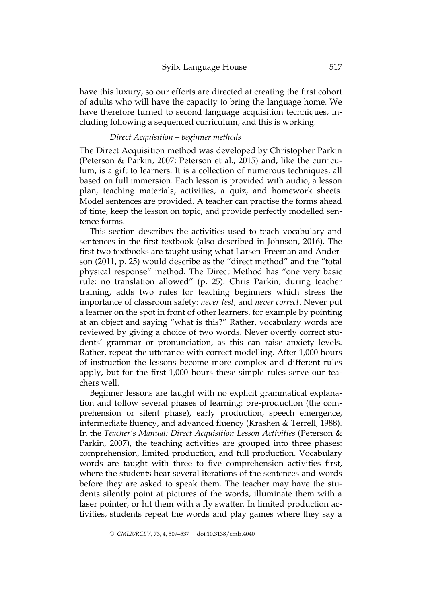#### Syilx Language House 517

have this luxury, so our efforts are directed at creating the first cohort of adults who will have the capacity to bring the language home. We have therefore turned to second language acquisition techniques, including following a sequenced curriculum, and this is working.

## Direct Acquisition – beginner methods

The Direct Acquisition method was developed by Christopher Parkin (Peterson & Parkin, 2007; Peterson et al., 2015) and, like the curriculum, is a gift to learners. It is a collection of numerous techniques, all based on full immersion. Each lesson is provided with audio, a lesson plan, teaching materials, activities, a quiz, and homework sheets. Model sentences are provided. A teacher can practise the forms ahead of time, keep the lesson on topic, and provide perfectly modelled sentence forms.

This section describes the activities used to teach vocabulary and sentences in the first textbook (also described in Johnson, 2016). The first two textbooks are taught using what Larsen-Freeman and Anderson (2011, p. 25) would describe as the "direct method" and the "total physical response" method. The Direct Method has "one very basic rule: no translation allowed" (p. 25). Chris Parkin, during teacher training, adds two rules for teaching beginners which stress the importance of classroom safety: never test, and never correct. Never put a learner on the spot in front of other learners, for example by pointing at an object and saying "what is this?" Rather, vocabulary words are reviewed by giving a choice of two words. Never overtly correct students' grammar or pronunciation, as this can raise anxiety levels. Rather, repeat the utterance with correct modelling. After 1,000 hours of instruction the lessons become more complex and different rules apply, but for the first 1,000 hours these simple rules serve our teachers well.

Beginner lessons are taught with no explicit grammatical explanation and follow several phases of learning: pre-production (the comprehension or silent phase), early production, speech emergence, intermediate fluency, and advanced fluency (Krashen & Terrell, 1988). In the Teacher's Manual: Direct Acquisition Lesson Activities (Peterson & Parkin, 2007), the teaching activities are grouped into three phases: comprehension, limited production, and full production. Vocabulary words are taught with three to five comprehension activities first, where the students hear several iterations of the sentences and words before they are asked to speak them. The teacher may have the students silently point at pictures of the words, illuminate them with a laser pointer, or hit them with a fly swatter. In limited production activities, students repeat the words and play games where they say a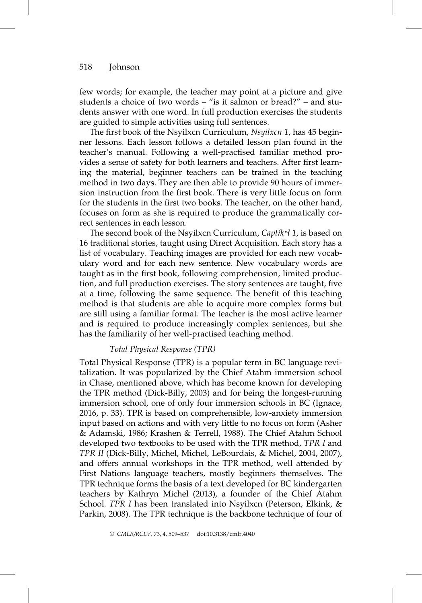few words; for example, the teacher may point at a picture and give students a choice of two words – "is it salmon or bread?" – and students answer with one word. In full production exercises the students are guided to simple activities using full sentences.

The first book of the Nsyilxcn Curriculum, Nsyilxcn 1, has 45 beginner lessons. Each lesson follows a detailed lesson plan found in the teacher's manual. Following a well-practised familiar method provides a sense of safety for both learners and teachers. After first learning the material, beginner teachers can be trained in the teaching method in two days. They are then able to provide 90 hours of immersion instruction from the first book. There is very little focus on form for the students in the first two books. The teacher, on the other hand, focuses on form as she is required to produce the grammatically correct sentences in each lesson.

The second book of the Nsyilxcn Curriculum, Captik $\forall$ 1, is based on 16 traditional stories, taught using Direct Acquisition. Each story has a list of vocabulary. Teaching images are provided for each new vocabulary word and for each new sentence. New vocabulary words are taught as in the first book, following comprehension, limited production, and full production exercises. The story sentences are taught, five at a time, following the same sequence. The benefit of this teaching method is that students are able to acquire more complex forms but are still using a familiar format. The teacher is the most active learner and is required to produce increasingly complex sentences, but she has the familiarity of her well-practised teaching method.

#### Total Physical Response (TPR)

Total Physical Response (TPR) is a popular term in BC language revitalization. It was popularized by the Chief Atahm immersion school in Chase, mentioned above, which has become known for developing the TPR method (Dick-Billy, 2003) and for being the longest-running immersion school, one of only four immersion schools in BC (Ignace, 2016, p. 33). TPR is based on comprehensible, low-anxiety immersion input based on actions and with very little to no focus on form (Asher & Adamski, 1986; Krashen & Terrell, 1988). The Chief Atahm School developed two textbooks to be used with the TPR method, TPR I and TPR II (Dick-Billy, Michel, Michel, LeBourdais, & Michel, 2004, 2007), and offers annual workshops in the TPR method, well attended by First Nations language teachers, mostly beginners themselves. The TPR technique forms the basis of a text developed for BC kindergarten teachers by Kathryn Michel (2013), a founder of the Chief Atahm School. TPR I has been translated into Nsyilxcn (Peterson, Elkink, & Parkin, 2008). The TPR technique is the backbone technique of four of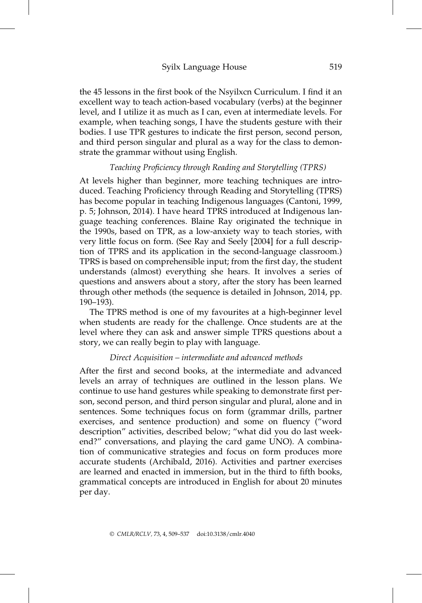## Syilx Language House 519

the 45 lessons in the first book of the Nsyilxcn Curriculum. I find it an excellent way to teach action-based vocabulary (verbs) at the beginner level, and I utilize it as much as I can, even at intermediate levels. For example, when teaching songs, I have the students gesture with their bodies. I use TPR gestures to indicate the first person, second person, and third person singular and plural as a way for the class to demonstrate the grammar without using English.

#### Teaching Proficiency through Reading and Storytelling (TPRS)

At levels higher than beginner, more teaching techniques are introduced. Teaching Proficiency through Reading and Storytelling (TPRS) has become popular in teaching Indigenous languages (Cantoni, 1999, p. 5; Johnson, 2014). I have heard TPRS introduced at Indigenous language teaching conferences. Blaine Ray originated the technique in the 1990s, based on TPR, as a low-anxiety way to teach stories, with very little focus on form. (See Ray and Seely [2004] for a full description of TPRS and its application in the second-language classroom.) TPRS is based on comprehensible input; from the first day, the student understands (almost) everything she hears. It involves a series of questions and answers about a story, after the story has been learned through other methods (the sequence is detailed in Johnson, 2014, pp. 190–193).

The TPRS method is one of my favourites at a high-beginner level when students are ready for the challenge. Once students are at the level where they can ask and answer simple TPRS questions about a story, we can really begin to play with language.

#### Direct Acquisition – intermediate and advanced methods

After the first and second books, at the intermediate and advanced levels an array of techniques are outlined in the lesson plans. We continue to use hand gestures while speaking to demonstrate first person, second person, and third person singular and plural, alone and in sentences. Some techniques focus on form (grammar drills, partner exercises, and sentence production) and some on fluency ("word description" activities, described below; "what did you do last weekend?" conversations, and playing the card game UNO). A combination of communicative strategies and focus on form produces more accurate students (Archibald, 2016). Activities and partner exercises are learned and enacted in immersion, but in the third to fifth books, grammatical concepts are introduced in English for about 20 minutes per day.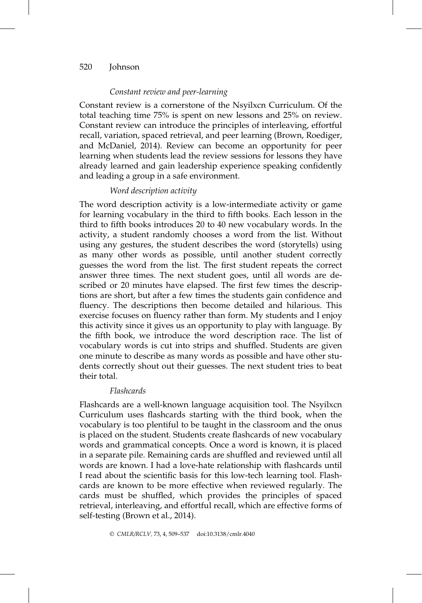## Constant review and peer-learning

Constant review is a cornerstone of the Nsyilxcn Curriculum. Of the total teaching time 75% is spent on new lessons and 25% on review. Constant review can introduce the principles of interleaving, effortful recall, variation, spaced retrieval, and peer learning (Brown, Roediger, and McDaniel, 2014). Review can become an opportunity for peer learning when students lead the review sessions for lessons they have already learned and gain leadership experience speaking confidently and leading a group in a safe environment.

## Word description activity

The word description activity is a low-intermediate activity or game for learning vocabulary in the third to fifth books. Each lesson in the third to fifth books introduces 20 to 40 new vocabulary words. In the activity, a student randomly chooses a word from the list. Without using any gestures, the student describes the word (storytells) using as many other words as possible, until another student correctly guesses the word from the list. The first student repeats the correct answer three times. The next student goes, until all words are described or 20 minutes have elapsed. The first few times the descriptions are short, but after a few times the students gain confidence and fluency. The descriptions then become detailed and hilarious. This exercise focuses on fluency rather than form. My students and I enjoy this activity since it gives us an opportunity to play with language. By the fifth book, we introduce the word description race. The list of vocabulary words is cut into strips and shuffled. Students are given one minute to describe as many words as possible and have other students correctly shout out their guesses. The next student tries to beat their total.

#### Flashcards

Flashcards are a well-known language acquisition tool. The Nsyilxcn Curriculum uses flashcards starting with the third book, when the vocabulary is too plentiful to be taught in the classroom and the onus is placed on the student. Students create flashcards of new vocabulary words and grammatical concepts. Once a word is known, it is placed in a separate pile. Remaining cards are shuffled and reviewed until all words are known. I had a love-hate relationship with flashcards until I read about the scientific basis for this low-tech learning tool. Flashcards are known to be more effective when reviewed regularly. The cards must be shuffled, which provides the principles of spaced retrieval, interleaving, and effortful recall, which are effective forms of self-testing (Brown et al., 2014).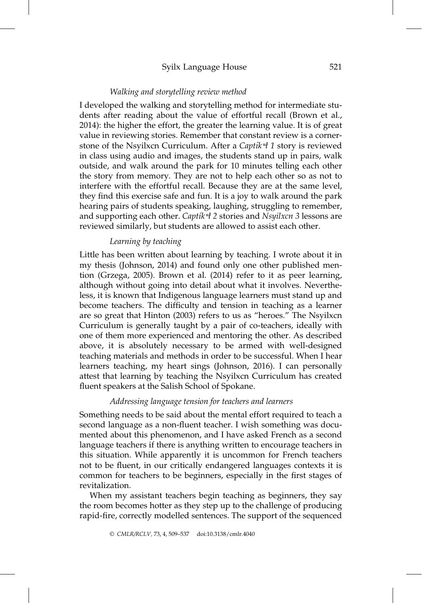## Syilx Language House 521

#### Walking and storytelling review method

I developed the walking and storytelling method for intermediate students after reading about the value of effortful recall (Brown et al., 2014): the higher the effort, the greater the learning value. It is of great value in reviewing stories. Remember that constant review is a cornerstone of the Nsyilxcn Curriculum. After a Captik $A$  1 story is reviewed in class using audio and images, the students stand up in pairs, walk outside, and walk around the park for 10 minutes telling each other the story from memory. They are not to help each other so as not to interfere with the effortful recall. Because they are at the same level, they find this exercise safe and fun. It is a joy to walk around the park hearing pairs of students speaking, laughing, struggling to remember, and supporting each other. Captik  $\not\!$  2 stories and Nsyilxcn 3 lessons are reviewed similarly, but students are allowed to assist each other.

## Learning by teaching

Little has been written about learning by teaching. I wrote about it in my thesis (Johnson, 2014) and found only one other published mention (Grzega, 2005). Brown et al. (2014) refer to it as peer learning, although without going into detail about what it involves. Nevertheless, it is known that Indigenous language learners must stand up and become teachers. The difficulty and tension in teaching as a learner are so great that Hinton (2003) refers to us as "heroes." The Nsyilxcn Curriculum is generally taught by a pair of co-teachers, ideally with one of them more experienced and mentoring the other. As described above, it is absolutely necessary to be armed with well-designed teaching materials and methods in order to be successful. When I hear learners teaching, my heart sings (Johnson, 2016). I can personally attest that learning by teaching the Nsyilxcn Curriculum has created fluent speakers at the Salish School of Spokane.

#### Addressing language tension for teachers and learners

Something needs to be said about the mental effort required to teach a second language as a non-fluent teacher. I wish something was documented about this phenomenon, and I have asked French as a second language teachers if there is anything written to encourage teachers in this situation. While apparently it is uncommon for French teachers not to be fluent, in our critically endangered languages contexts it is common for teachers to be beginners, especially in the first stages of revitalization.

When my assistant teachers begin teaching as beginners, they say the room becomes hotter as they step up to the challenge of producing rapid-fire, correctly modelled sentences. The support of the sequenced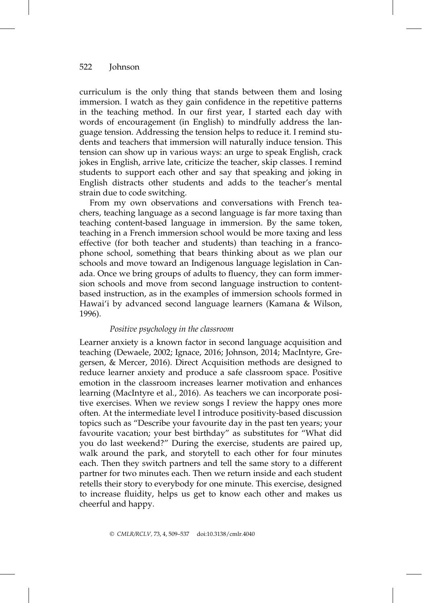curriculum is the only thing that stands between them and losing immersion. I watch as they gain confidence in the repetitive patterns in the teaching method. In our first year, I started each day with words of encouragement (in English) to mindfully address the language tension. Addressing the tension helps to reduce it. I remind students and teachers that immersion will naturally induce tension. This tension can show up in various ways: an urge to speak English, crack jokes in English, arrive late, criticize the teacher, skip classes. I remind students to support each other and say that speaking and joking in English distracts other students and adds to the teacher's mental strain due to code switching.

From my own observations and conversations with French teachers, teaching language as a second language is far more taxing than teaching content-based language in immersion. By the same token, teaching in a French immersion school would be more taxing and less effective (for both teacher and students) than teaching in a francophone school, something that bears thinking about as we plan our schools and move toward an Indigenous language legislation in Canada. Once we bring groups of adults to fluency, they can form immersion schools and move from second language instruction to contentbased instruction, as in the examples of immersion schools formed in Hawai'i by advanced second language learners (Kamana & Wilson, 1996).

#### Positive psychology in the classroom

Learner anxiety is a known factor in second language acquisition and teaching (Dewaele, 2002; Ignace, 2016; Johnson, 2014; MacIntyre, Gregersen, & Mercer, 2016). Direct Acquisition methods are designed to reduce learner anxiety and produce a safe classroom space. Positive emotion in the classroom increases learner motivation and enhances learning (MacIntyre et al., 2016). As teachers we can incorporate positive exercises. When we review songs I review the happy ones more often. At the intermediate level I introduce positivity-based discussion topics such as "Describe your favourite day in the past ten years; your favourite vacation; your best birthday" as substitutes for "What did you do last weekend?" During the exercise, students are paired up, walk around the park, and storytell to each other for four minutes each. Then they switch partners and tell the same story to a different partner for two minutes each. Then we return inside and each student retells their story to everybody for one minute. This exercise, designed to increase fluidity, helps us get to know each other and makes us cheerful and happy.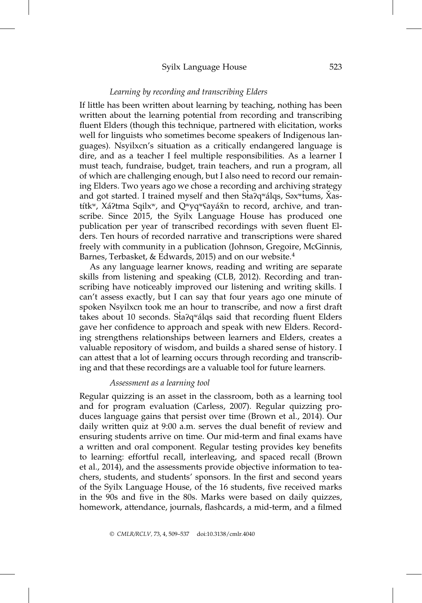## Syilx Language House 523

#### Learning by recording and transcribing Elders

If little has been written about learning by teaching, nothing has been written about the learning potential from recording and transcribing fluent Elders (though this technique, partnered with elicitation, works well for linguists who sometimes become speakers of Indigenous languages). Nsyilxcn's situation as a critically endangered language is dire, and as a teacher I feel multiple responsibilities. As a learner I must teach, fundraise, budget, train teachers, and run a program, all of which are challenging enough, but I also need to record our remaining Elders. Two years ago we chose a recording and archiving strategy and got started. I trained myself and then Sta?q<sup>w</sup>álqs, Səx<sup>w</sup>tums, Xastítk<sup>w</sup>, Xá?tma Sqilx<sup>w</sup>, and Q<sup>w</sup>yq<sup>w</sup>Sayáǎn to record, archive, and transcribe. Since 2015, the Syilx Language House has produced one publication per year of transcribed recordings with seven fluent Elders. Ten hours of recorded narrative and transcriptions were shared freely with community in a publication (Johnson, Gregoire, McGinnis, Barnes, Terbasket, & Edwards, 2015) and on our website.<sup>4</sup>

As any language learner knows, reading and writing are separate skills from listening and speaking (CLB, 2012). Recording and transcribing have noticeably improved our listening and writing skills. I can't assess exactly, but I can say that four years ago one minute of spoken Nsyilxcn took me an hour to transcribe, and now a first draft takes about 10 seconds. Sta $2q$ <sup>w</sup>a<sup>d</sup>qs said that recording fluent Elders gave her confidence to approach and speak with new Elders. Recording strengthens relationships between learners and Elders, creates a valuable repository of wisdom, and builds a shared sense of history. I can attest that a lot of learning occurs through recording and transcribing and that these recordings are a valuable tool for future learners.

## Assessment as a learning tool

Regular quizzing is an asset in the classroom, both as a learning tool and for program evaluation (Carless, 2007). Regular quizzing produces language gains that persist over time (Brown et al., 2014). Our daily written quiz at 9:00 a.m. serves the dual benefit of review and ensuring students arrive on time. Our mid-term and final exams have a written and oral component. Regular testing provides key benefits to learning: effortful recall, interleaving, and spaced recall (Brown et al., 2014), and the assessments provide objective information to teachers, students, and students' sponsors. In the first and second years of the Syilx Language House, of the 16 students, five received marks in the 90s and five in the 80s. Marks were based on daily quizzes, homework, attendance, journals, flashcards, a mid-term, and a filmed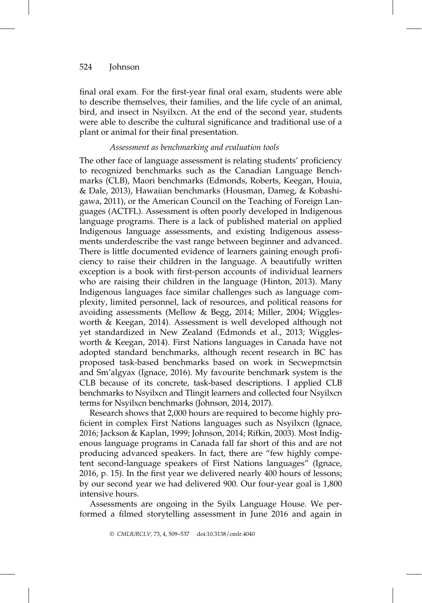final oral exam. For the first-year final oral exam, students were able to describe themselves, their families, and the life cycle of an animal, bird, and insect in Nsyilxcn. At the end of the second year, students were able to describe the cultural significance and traditional use of a plant or animal for their final presentation.

#### Assessment as benchmarking and evaluation tools

The other face of language assessment is relating students' proficiency to recognized benchmarks such as the Canadian Language Benchmarks (CLB), Maori benchmarks (Edmonds, Roberts, Keegan, Houia, & Dale, 2013), Hawaiian benchmarks (Housman, Dameg, & Kobashigawa, 2011), or the American Council on the Teaching of Foreign Languages (ACTFL). Assessment is often poorly developed in Indigenous language programs. There is a lack of published material on applied Indigenous language assessments, and existing Indigenous assessments underdescribe the vast range between beginner and advanced. There is little documented evidence of learners gaining enough proficiency to raise their children in the language. A beautifully written exception is a book with first-person accounts of individual learners who are raising their children in the language (Hinton, 2013). Many Indigenous languages face similar challenges such as language complexity, limited personnel, lack of resources, and political reasons for avoiding assessments (Mellow & Begg, 2014; Miller, 2004; Wigglesworth & Keegan, 2014). Assessment is well developed although not yet standardized in New Zealand (Edmonds et al., 2013; Wigglesworth & Keegan, 2014). First Nations languages in Canada have not adopted standard benchmarks, although recent research in BC has proposed task-based benchmarks based on work in Secwepmctsin and Sm'algyax (Ignace, 2016). My favourite benchmark system is the CLB because of its concrete, task-based descriptions. I applied CLB benchmarks to Nsyilxcn and Tlingit learners and collected four Nsyilxcn terms for Nsyilxcn benchmarks (Johnson, 2014, 2017).

Research shows that 2,000 hours are required to become highly proficient in complex First Nations languages such as Nsyilxcn (Ignace, 2016; Jackson & Kaplan, 1999; Johnson, 2014; Rifkin, 2003). Most Indigenous language programs in Canada fall far short of this and are not producing advanced speakers. In fact, there are "few highly competent second-language speakers of First Nations languages" (Ignace, 2016, p. 15). In the first year we delivered nearly 400 hours of lessons; by our second year we had delivered 900. Our four-year goal is 1,800 intensive hours.

Assessments are ongoing in the Syilx Language House. We performed a filmed storytelling assessment in June 2016 and again in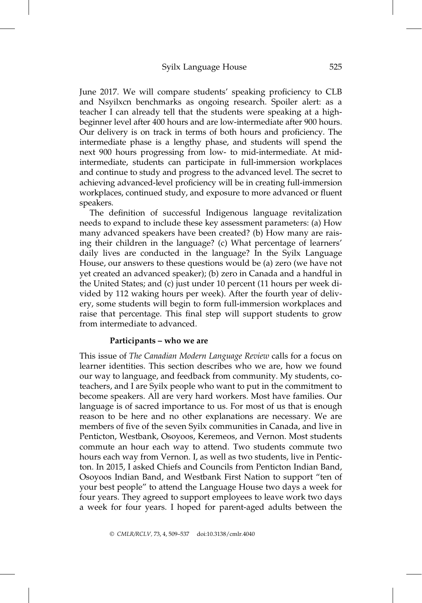June 2017. We will compare students' speaking proficiency to CLB and Nsyilxcn benchmarks as ongoing research. Spoiler alert: as a teacher I can already tell that the students were speaking at a highbeginner level after 400 hours and are low-intermediate after 900 hours. Our delivery is on track in terms of both hours and proficiency. The intermediate phase is a lengthy phase, and students will spend the next 900 hours progressing from low- to mid-intermediate. At midintermediate, students can participate in full-immersion workplaces and continue to study and progress to the advanced level. The secret to achieving advanced-level proficiency will be in creating full-immersion workplaces, continued study, and exposure to more advanced or fluent speakers.

The definition of successful Indigenous language revitalization needs to expand to include these key assessment parameters: (a) How many advanced speakers have been created? (b) How many are raising their children in the language? (c) What percentage of learners' daily lives are conducted in the language? In the Syilx Language House, our answers to these questions would be (a) zero (we have not yet created an advanced speaker); (b) zero in Canada and a handful in the United States; and (c) just under 10 percent (11 hours per week divided by 112 waking hours per week). After the fourth year of delivery, some students will begin to form full-immersion workplaces and raise that percentage. This final step will support students to grow from intermediate to advanced.

#### Participants – who we are

This issue of The Canadian Modern Language Review calls for a focus on learner identities. This section describes who we are, how we found our way to language, and feedback from community. My students, coteachers, and I are Syilx people who want to put in the commitment to become speakers. All are very hard workers. Most have families. Our language is of sacred importance to us. For most of us that is enough reason to be here and no other explanations are necessary. We are members of five of the seven Syilx communities in Canada, and live in Penticton, Westbank, Osoyoos, Keremeos, and Vernon. Most students commute an hour each way to attend. Two students commute two hours each way from Vernon. I, as well as two students, live in Penticton. In 2015, I asked Chiefs and Councils from Penticton Indian Band, Osoyoos Indian Band, and Westbank First Nation to support "ten of your best people" to attend the Language House two days a week for four years. They agreed to support employees to leave work two days a week for four years. I hoped for parent-aged adults between the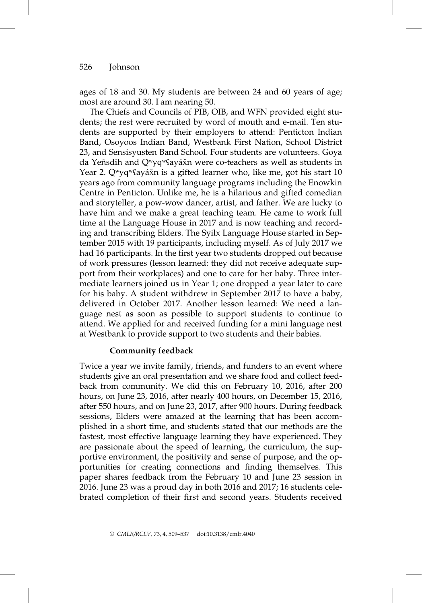ages of 18 and 30. My students are between 24 and 60 years of age; most are around 30. I am nearing 50.

The Chiefs and Councils of PIB, OIB, and WFN provided eight students; the rest were recruited by word of mouth and e-mail. Ten students are supported by their employers to attend: Penticton Indian Band, Osoyoos Indian Band, Westbank First Nation, School District 23, and Sensisyusten Band School. Four students are volunteers. Goya da Yeñsdih and Q<sup>w</sup>yq<sup>w</sup>Sayáxǐn were co-teachers as well as students in Year 2. Q<sup>w</sup>yq<sup>w</sup>Sayáxn is a gifted learner who, like me, got his start 10 years ago from community language programs including the Enowkin Centre in Penticton. Unlike me, he is a hilarious and gifted comedian and storyteller, a pow-wow dancer, artist, and father. We are lucky to have him and we make a great teaching team. He came to work full time at the Language House in 2017 and is now teaching and recording and transcribing Elders. The Syilx Language House started in September 2015 with 19 participants, including myself. As of July 2017 we had 16 participants. In the first year two students dropped out because of work pressures (lesson learned: they did not receive adequate support from their workplaces) and one to care for her baby. Three intermediate learners joined us in Year 1; one dropped a year later to care for his baby. A student withdrew in September 2017 to have a baby, delivered in October 2017. Another lesson learned: We need a language nest as soon as possible to support students to continue to attend. We applied for and received funding for a mini language nest at Westbank to provide support to two students and their babies.

#### Community feedback

Twice a year we invite family, friends, and funders to an event where students give an oral presentation and we share food and collect feedback from community. We did this on February 10, 2016, after 200 hours, on June 23, 2016, after nearly 400 hours, on December 15, 2016, after 550 hours, and on June 23, 2017, after 900 hours. During feedback sessions, Elders were amazed at the learning that has been accomplished in a short time, and students stated that our methods are the fastest, most effective language learning they have experienced. They are passionate about the speed of learning, the curriculum, the supportive environment, the positivity and sense of purpose, and the opportunities for creating connections and finding themselves. This paper shares feedback from the February 10 and June 23 session in 2016. June 23 was a proud day in both 2016 and 2017; 16 students celebrated completion of their first and second years. Students received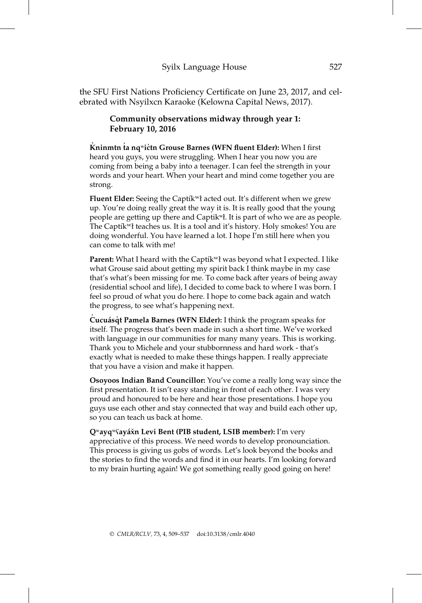the SFU First Nations Proficiency Certificate on June 23, 2017, and celebrated with Nsyilxcn Karaoke (Kelowna Capital News, 2017).

## Community observations midway through year 1: February 10, 2016

 $\dot{\mathbf{K}}$ ninmtn ṫa nqʷiċtn Grouse Barnes (WFN fluent Elder): When I first heard you guys, you were struggling. When I hear you now you are coming from being a baby into a teenager. I can feel the strength in your words and your heart. When your heart and mind come together you are strong.

Fluent Elder: Seeing the Captík<sup>w</sup>ł acted out. It's different when we grew up. You're doing really great the way it is. It is really good that the young people are getting up there and Captikʷł. It is part of who we are as people. The Captik<sup>w</sup>ł teaches us. It is a tool and it's history. Holy smokes! You are doing wonderful. You have learned a lot. I hope I'm still here when you can come to talk with me!

Parent: What I heard with the Captík<sup>w</sup>ł was beyond what I expected. I like what Grouse said about getting my spirit back I think maybe in my case that's what's been missing for me. To come back after years of being away (residential school and life), I decided to come back to where I was born. I feel so proud of what you do here. I hope to come back again and watch the progress, to see what's happening next.

Cucuásqt Pamela Barnes (WFN Elder): I think the program speaks for itself. The progress that's been made in such a short time. We've worked with language in our communities for many many years. This is working. Thank you to Michele and your stubbornness and hard work - that's exactly what is needed to make these things happen. I really appreciate that you have a vision and make it happen.

Osoyoos Indian Band Councillor: You've come a really long way since the first presentation. It isn't easy standing in front of each other. I was very proud and honoured to be here and hear those presentations. I hope you guys use each other and stay connected that way and build each other up, so you can teach us back at home.

Qwayqw $\gamma$ ayá $\chi$ n Levi Bent (PIB student, LSIB member): I'm very appreciative of this process. We need words to develop pronounciation. This process is giving us gobs of words. Let's look beyond the books and the stories to find the words and find it in our hearts. I'm looking forward to my brain hurting again! We got something really good going on here!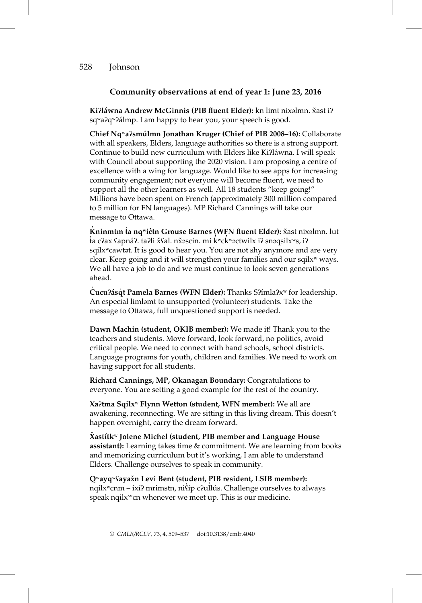#### Community observations at end of year 1: June 23, 2016

Ki?láwna Andrew McGinnis (PIB fluent Elder): kn limt nixəlmn. xast i? sq<sup>w</sup>a?q<sup>w</sup>?álmp. I am happy to hear you, your speech is good.

Chief Nqʷaʔsmu´lmn Jonathan Kruger (Chief of PIB 2008–16): Collaborate with all speakers, Elders, language authorities so there is a strong support. Continue to build new curriculum with Elders like Ki?láwna. I will speak with Council about supporting the 2020 vision. I am proposing a centre of excellence with a wing for language. Would like to see apps for increasing community engagement; not everyone will become fluent, we need to support all the other learners as well. All 18 students "keep going!" Millions have been spent on French (approximately 300 million compared to 5 million for FN languages). MP Richard Cannings will take our message to Ottawa.

 $\dot{\mathbf{K}}$ ninmtm ta nq<code>wi</code>c̓tn Grouse Barnes (WFN fluent Elder):  $\check{\mathsf{x}}$ ast nixəlmn. lut ,<br>ta c?ax ʕapná?. taʔli x̌ʕal. nx̌əscin. mi k̓ʷck̓ʷəctwilx iʔ snəqsilxʷs, iʔ sqilxʷcawtət. It is good to hear you. You are not shy anymore and are very clear. Keep going and it will strengthen your families and our sqilx<sup>w</sup> ways. We all have a job to do and we must continue to look seven generations ahead.

Cucu?ásqt Pamela Barnes (WFN Elder): Thanks S?ímla?x<sup>w</sup> for leadership. An especial limləmt to unsupported (volunteer) students. Take the message to Ottawa, full unquestioned support is needed.

Dawn Machin (student, OKIB member): We made it! Thank you to the teachers and students. Move forward, look forward, no politics, avoid critical people. We need to connect with band schools, school districts. Language programs for youth, children and families. We need to work on having support for all students.

Richard Cannings, MP, Okanagan Boundary: Congratulations to everyone. You are setting a good example for the rest of the country.

Xaʔtma Sqilxʷ Flynn Wetton (student, WFN member): We all are awakening, reconnecting. We are sitting in this living dream. This doesn't happen overnight, carry the dream forward.

 $\check{\bm{\chi}}$ astítk $^{\text{w}}$  Jolene Michel (student, PIB member and Language House assistant): Learning takes time & commitment. We are learning from books and memorizing curriculum but it's working, I am able to understand Elders. Challenge ourselves to speak in community.

Qʷayqʷʕayax̌n Levi Bent (student, PIB resident, LSIB member): nqilx<sup>w</sup>cnm – ixí? mrimstn, nistp c?ullús. Challenge ourselves to always speak nqilx<sup>w</sup>cn whenever we meet up. This is our medicine.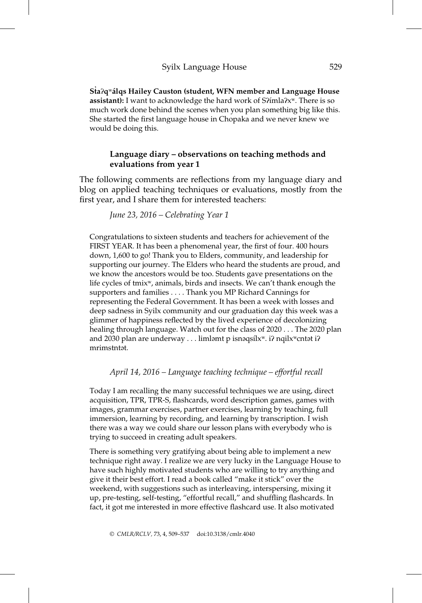Sta?q<sup>w</sup>alqs Hailey Causton (student, WFN member and Language House assistant): I want to acknowledge the hard work of S?ímla?x<sup>w</sup>. There is so much work done behind the scenes when you plan something big like this. She started the first language house in Chopaka and we never knew we would be doing this.

## Language diary – observations on teaching methods and evaluations from year 1

The following comments are reflections from my language diary and blog on applied teaching techniques or evaluations, mostly from the first year, and I share them for interested teachers:

June 23, 2016 – Celebrating Year 1

Congratulations to sixteen students and teachers for achievement of the FIRST YEAR. It has been a phenomenal year, the first of four. 400 hours down, 1,600 to go! Thank you to Elders, community, and leadership for supporting our journey. The Elders who heard the students are proud, and we know the ancestors would be too. Students gave presentations on the life cycles of tmixʷ, animals, birds and insects. We can't thank enough the supporters and families . . . . Thank you MP Richard Cannings for representing the Federal Government. It has been a week with losses and deep sadness in Syilx community and our graduation day this week was a glimmer of happiness reflected by the lived experience of decolonizing healing through language. Watch out for the class of 2020 . . . The 2020 plan and 2030 plan are underway . . . limləmt p isnəqsílx<sup>w</sup>. i? nqilx<sup>w</sup>cntət i? mrimstntət.

April 14, 2016 – Language teaching technique – effortful recall

Today I am recalling the many successful techniques we are using, direct acquisition, TPR, TPR-S, flashcards, word description games, games with images, grammar exercises, partner exercises, learning by teaching, full immersion, learning by recording, and learning by transcription. I wish there was a way we could share our lesson plans with everybody who is trying to succeed in creating adult speakers.

There is something very gratifying about being able to implement a new technique right away. I realize we are very lucky in the Language House to have such highly motivated students who are willing to try anything and give it their best effort. I read a book called "make it stick" over the weekend, with suggestions such as interleaving, interspersing, mixing it up, pre-testing, self-testing, "effortful recall," and shuffling flashcards. In fact, it got me interested in more effective flashcard use. It also motivated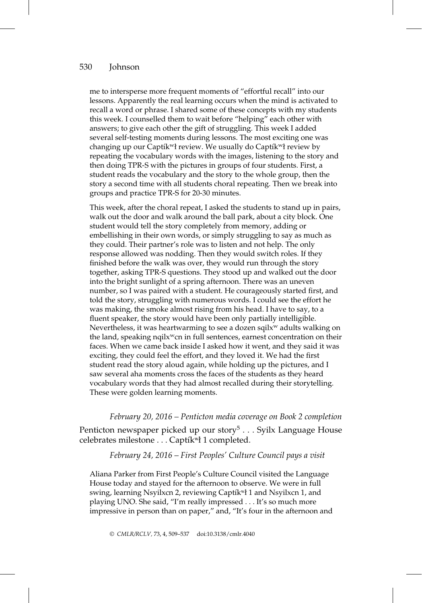me to intersperse more frequent moments of "effortful recall" into our lessons. Apparently the real learning occurs when the mind is activated to recall a word or phrase. I shared some of these concepts with my students this week. I counselled them to wait before "helping" each other with answers; to give each other the gift of struggling. This week I added several self-testing moments during lessons. The most exciting one was changing up our Captík<sup>w</sup>ł review. We usually do Captík<sup>w</sup>ł review by repeating the vocabulary words with the images, listening to the story and then doing TPR-S with the pictures in groups of four students. First, a student reads the vocabulary and the story to the whole group, then the story a second time with all students choral repeating. Then we break into groups and practice TPR-S for 20-30 minutes.

This week, after the choral repeat, I asked the students to stand up in pairs, walk out the door and walk around the ball park, about a city block. One student would tell the story completely from memory, adding or embellishing in their own words, or simply struggling to say as much as they could. Their partner's role was to listen and not help. The only response allowed was nodding. Then they would switch roles. If they finished before the walk was over, they would run through the story together, asking TPR-S questions. They stood up and walked out the door into the bright sunlight of a spring afternoon. There was an uneven number, so I was paired with a student. He courageously started first, and told the story, struggling with numerous words. I could see the effort he was making, the smoke almost rising from his head. I have to say, to a fluent speaker, the story would have been only partially intelligible. Nevertheless, it was heartwarming to see a dozen sqil $x^w$  adults walking on the land, speaking nqil $x<sup>w</sup>$ cn in full sentences, earnest concentration on their faces. When we came back inside I asked how it went, and they said it was exciting, they could feel the effort, and they loved it. We had the first student read the story aloud again, while holding up the pictures, and I saw several aha moments cross the faces of the students as they heard vocabulary words that they had almost recalled during their storytelling. These were golden learning moments.

#### February 20, 2016 – Penticton media coverage on Book 2 completion

Penticton newspaper picked up our story<sup>5</sup> . . . Syilx Language House celebrates milestone . . . Captík<sup>w</sup>ł 1 completed.

#### February 24, 2016 – First Peoples' Culture Council pays a visit

Aliana Parker from First People's Culture Council visited the Language House today and stayed for the afternoon to observe. We were in full swing, learning Nsyilxcn 2, reviewing Captík<sup>w</sup>ł 1 and Nsyilxcn 1, and playing UNO. She said, "I'm really impressed . . . It's so much more impressive in person than on paper," and, "It's four in the afternoon and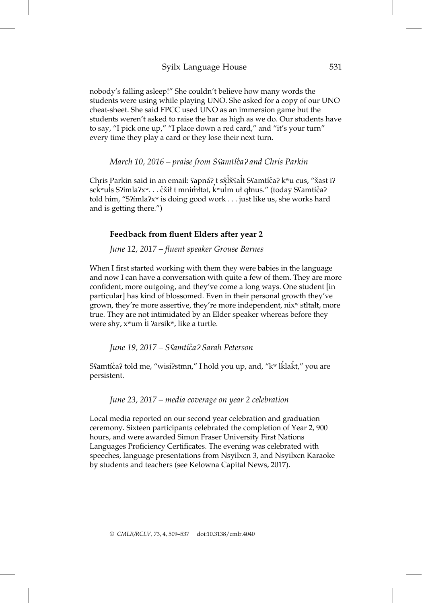## Syilx Language House 531

nobody's falling asleep!" She couldn't believe how many words the students were using while playing UNO. She asked for a copy of our UNO cheat-sheet. She said FPCC used UNO as an immersion game but the students weren't asked to raise the bar as high as we do. Our students have to say, "I pick one up," "I place down a red card," and "it's your turn" every time they play a card or they lose their next turn.

## March 10, 2016 – praise from S Samtíča? and Chris Parkin

Chris Parkin said in an email: ʕapnáʔ t sx̌ľx̃ʕalt Sʕamtíc̊aʔ kʷu cus, "x̌ast iʔ sck<sup>'w</sup>uls S?ímla?xʷ. . . c̓x̌ił t mnimttət, k̓ʷulm uł qłnus." (today Sʕamtíc̓a? told him, "S?ímla?x<sup>w</sup> is doing good work . . . just like us, she works hard and is getting there.")

#### Feedback from fluent Elders after year 2

#### June 12, 2017 – fluent speaker Grouse Barnes

When I first started working with them they were babies in the language and now I can have a conversation with quite a few of them. They are more confident, more outgoing, and they've come a long ways. One student [in particular] has kind of blossomed. Even in their personal growth they've grown, they're more assertive, they're more independent, nixʷ stłtałt, more true. They are not intimidated by an Elder speaker whereas before they were shy, x<sup>w</sup>um t≀ ?arsík<sup>w</sup>, like a turtle.

June 19, 2017 – Sʕamtı´c̓aʔ Sarah Peterson

Sʕamtíċaʔ told me, "wisíʔstmn," I hold you up, and, "kʷ lǩlaǩt," you are persistent.

June 23, 2017 – media coverage on year 2 celebration

Local media reported on our second year celebration and graduation ceremony. Sixteen participants celebrated the completion of Year 2, 900 hours, and were awarded Simon Fraser University First Nations Languages Proficiency Certificates. The evening was celebrated with speeches, language presentations from Nsyilxcn 3, and Nsyilxcn Karaoke by students and teachers (see Kelowna Capital News, 2017).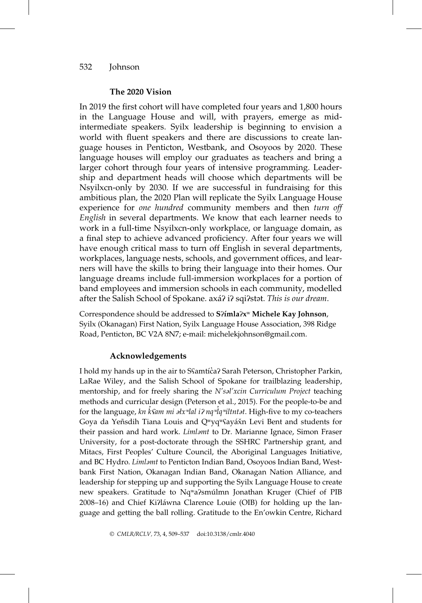#### The 2020 Vision

In 2019 the first cohort will have completed four years and 1,800 hours in the Language House and will, with prayers, emerge as midintermediate speakers. Syilx leadership is beginning to envision a world with fluent speakers and there are discussions to create language houses in Penticton, Westbank, and Osoyoos by 2020. These language houses will employ our graduates as teachers and bring a larger cohort through four years of intensive programming. Leadership and department heads will choose which departments will be Nsyilxcn-only by 2030. If we are successful in fundraising for this ambitious plan, the 2020 Plan will replicate the Syilx Language House experience for *one hundred* community members and then *turn* off English in several departments. We know that each learner needs to work in a full-time Nsyilxcn-only workplace, or language domain, as a final step to achieve advanced proficiency. After four years we will have enough critical mass to turn off English in several departments, workplaces, language nests, schools, and government offices, and learners will have the skills to bring their language into their homes. Our language dreams include full-immersion workplaces for a portion of band employees and immersion schools in each community, modelled after the Salish School of Spokane. axá? i? sqi?stat. This is our dream.

Correspondence should be addressed to S?ímla?x<sup>w</sup> Michele Kay Johnson, Syilx (Okanagan) First Nation, Syilx Language House Association, 398 Ridge Road, Penticton, BC V2A 8N7; e-mail: michelekjohnson@gmail.com.

#### Acknowledgements

I hold my hands up in the air to Sናamtíċa? Sarah Peterson, Christopher Parkin, LaRae Wiley, and the Salish School of Spokane for trailblazing leadership, mentorship, and for freely sharing the N'səl'xcin Curriculum Project teaching methods and curricular design (Peterson et al., 2015). For the people-to-be and for the language*, kn ǩsam mi əłxʷlal iʔ nqʷlqʷiltntət*. High-five to my co-teachers ̓ Goya da Yeñsdih Tiana Louis and Q<sup>w</sup>yq<sup>w</sup>Sayáxǐn Levi Bent and students for their passion and hard work. Limlamt to Dr. Marianne Ignace, Simon Fraser University, for a post-doctorate through the SSHRC Partnership grant, and Mitacs, First Peoples' Culture Council, the Aboriginal Languages Initiative, and BC Hydro. Limləmt to Penticton Indian Band, Osoyoos Indian Band, Westbank First Nation, Okanagan Indian Band, Okanagan Nation Alliance, and leadership for stepping up and supporting the Syilx Language House to create new speakers. Gratitude to Nq<sup>w</sup>a?smu<sup>I</sup>lmn Jonathan Kruger (Chief of PIB 2008–16) and Chief Ki?láwna Clarence Louie (OIB) for holding up the language and getting the ball rolling. Gratitude to the En'owkin Centre, Richard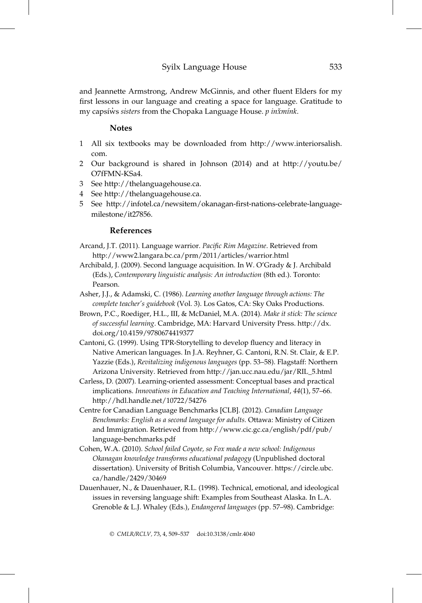and Jeannette Armstrong, Andrew McGinnis, and other fluent Elders for my first lessons in our language and creating a space for language. Gratitude to my capsiws sisters from the Chopaka Language House. p inxmink.

#### Notes

- 1 All six textbooks may be downloaded from http://www.interiorsalish. com.
- 2 Our background is shared in Johnson (2014) and at http://youtu.be/ O7fFMN-KSa4.
- 3 See http://thelanguagehouse.ca.
- 4 See http://thelanguagehouse.ca.
- 5 See http://infotel.ca/newsitem/okanagan-first-nations-celebrate-languagemilestone/it27856.

## References

- Arcand, J.T. (2011). Language warrior. Pacific Rim Magazine. Retrieved from http://www2.langara.bc.ca/prm/2011/articles/warrior.html
- Archibald, J. (2009). Second language acquisition. In W. O'Grady & J. Archibald (Eds.), Contemporary linguistic analysis: An introduction (8th ed.). Toronto: Pearson.
- Asher, J.J., & Adamski, C. (1986). Learning another language through actions: The complete teacher's guidebook (Vol. 3). Los Gatos, CA: Sky Oaks Productions.
- Brown, P.C., Roediger, H.L., III, & McDaniel, M.A. (2014). Make it stick: The science of successful learning. Cambridge, MA: Harvard University Press. http://dx. doi.org/10.4159/9780674419377
- Cantoni, G. (1999). Using TPR-Storytelling to develop fluency and literacy in Native American languages. In J.A. Reyhner, G. Cantoni, R.N. St. Clair, & E.P. Yazzie (Eds.), Revitalizing indigenous languages (pp. 53–58). Flagstaff: Northern Arizona University. Retrieved from http://jan.ucc.nau.edu/jar/RIL\_5.html
- Carless, D. (2007). Learning-oriented assessment: Conceptual bases and practical implications. Innovations in Education and Teaching International, 44(1), 57–66. http://hdl.handle.net/10722/54276
- Centre for Canadian Language Benchmarks [CLB]. (2012). Canadian Language Benchmarks: English as a second language for adults. Ottawa: Ministry of Citizen and Immigration. Retrieved from http://www.cic.gc.ca/english/pdf/pub/ language-benchmarks.pdf
- Cohen, W.A. (2010). School failed Coyote, so Fox made a new school: Indigenous Okanagan knowledge transforms educational pedagogy (Unpublished doctoral dissertation). University of British Columbia, Vancouver. https://circle.ubc. ca/handle/2429/30469
- Dauenhauer, N., & Dauenhauer, R.L. (1998). Technical, emotional, and ideological issues in reversing language shift: Examples from Southeast Alaska. In L.A. Grenoble & L.J. Whaley (Eds.), Endangered languages (pp. 57–98). Cambridge: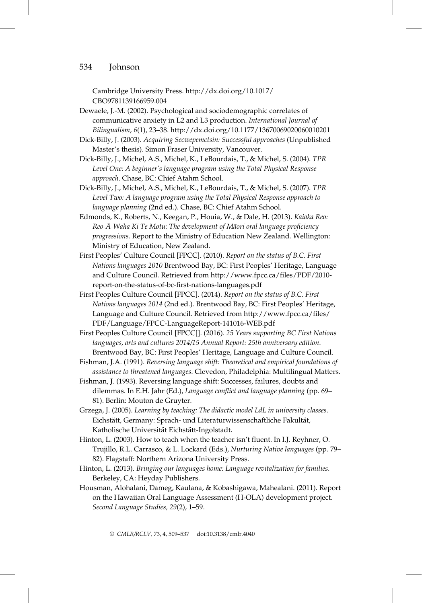Cambridge University Press. http://dx.doi.org/10.1017/ CBO9781139166959.004

- Dewaele, J.-M. (2002). Psychological and sociodemographic correlates of communicative anxiety in L2 and L3 production. International Journal of Bilingualism, 6(1), 23–38. http://dx.doi.org/10.1177/13670069020060010201
- Dick-Billy, J. (2003). Acquiring Secwepemctsin: Successful approaches (Unpublished Master's thesis). Simon Fraser University, Vancouver.
- Dick-Billy, J., Michel, A.S., Michel, K., LeBourdais, T., & Michel, S. (2004). TPR Level One: A beginner's language program using the Total Physical Response approach. Chase, BC: Chief Atahm School.
- Dick-Billy, J., Michel, A.S., Michel, K., LeBourdais, T., & Michel, S. (2007). TPR Level Two: A language program using the Total Physical Response approach to language planning (2nd ed.). Chase, BC: Chief Atahm School.
- Edmonds, K., Roberts, N., Keegan, P., Houia, W., & Dale, H. (2013). Kaiaka Reo: Reo- $\bar{A}$ -Waha Ki Te Motu: The development of Māori oral language proficiency progressions. Report to the Ministry of Education New Zealand. Wellington: Ministry of Education, New Zealand.
- First Peoples' Culture Council [FPCC]. (2010). Report on the status of B.C. First Nations languages 2010 Brentwood Bay, BC: First Peoples' Heritage, Language and Culture Council. Retrieved from http://www.fpcc.ca/files/PDF/2010 report-on-the-status-of-bc-first-nations-languages.pdf
- First Peoples Culture Council [FPCC]. (2014). Report on the status of B.C. First Nations languages 2014 (2nd ed.). Brentwood Bay, BC: First Peoples' Heritage, Language and Culture Council. Retrieved from http://www.fpcc.ca/files/ PDF/Language/FPCC-LanguageReport-141016-WEB.pdf
- First Peoples Culture Council [FPCC[]. (2016). 25 Years supporting BC First Nations languages, arts and cultures 2014/15 Annual Report: 25th anniversary edition. Brentwood Bay, BC: First Peoples' Heritage, Language and Culture Council.
- Fishman, J.A. (1991). Reversing language shift: Theoretical and empirical foundations of assistance to threatened languages. Clevedon, Philadelphia: Multilingual Matters.
- Fishman, J. (1993). Reversing language shift: Successes, failures, doubts and dilemmas. In E.H. Jahr (Ed.), Language conflict and language planning (pp. 69– 81). Berlin: Mouton de Gruyter.
- Grzega, J. (2005). Learning by teaching: The didactic model LdL in university classes. Eichstätt, Germany: Sprach- und Literaturwissenschaftliche Fakultät, Katholische Universität Eichstätt-Ingolstadt.
- Hinton, L. (2003). How to teach when the teacher isn't fluent. In I.J. Reyhner, O. Trujillo, R.L. Carrasco, & L. Lockard (Eds.), Nurturing Native languages (pp. 79– 82). Flagstaff: Northern Arizona University Press.
- Hinton, L. (2013). Bringing our languages home: Language revitalization for families. Berkeley, CA: Heyday Publishers.
- Housman, Alohalani, Dameg, Kaulana, & Kobashigawa, Mahealani. (2011). Report on the Hawaiian Oral Language Assessment (H-OLA) development project. Second Language Studies, 29(2), 1–59.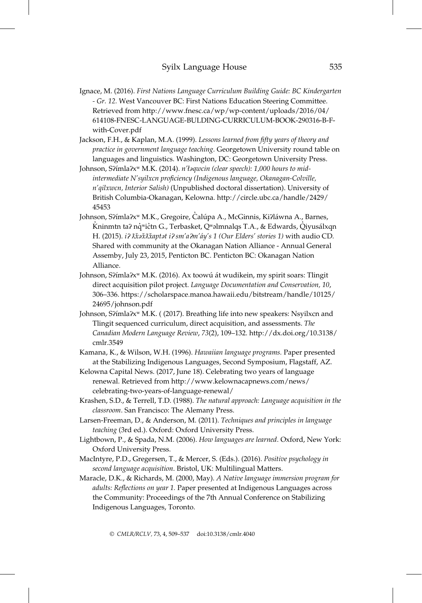- Ignace, M. (2016). First Nations Language Curriculum Building Guide: BC Kindergarten - Gr. 12. West Vancouver BC: First Nations Education Steering Committee. Retrieved from http://www.fnesc.ca/wp/wp-content/uploads/2016/04/ 614108-FNESC-LANGUAGE-BULDING-CURRICULUM-BOOK-290316-B-Fwith-Cover.pdf
- Jackson, F.H., & Kaplan, M.A. (1999). Lessons learned from fifty years of theory and practice in government language teaching. Georgetown University round table on languages and linguistics. Washington, DC: Georgetown University Press.
- Johnson, S?ímla?x<sup>w</sup> M.K. (2014). n'łaqwcin (clear speech): 1,000 hours to midintermediate N'syilxcn proficiency (Indigenous language, Okanagan-Colville, n'qilxwcn, Interior Salish) (Unpublished doctoral dissertation). University of British Columbia-Okanagan, Kelowna. http://circle.ubc.ca/handle/2429/ 45453
- Johnson, Sʔímlaʔxʷ M.K., Gregoire, C̊alúpa A., McGinnis, Kiʔláwna A., Barnes,  $\dot{\mathsf{K}}$ ninmtn ta? n $\dot{\mathsf{q}}$ wićtn G., Terbasket, Q̄wəlmnalqs T.A., & Edwards, Qıyusálxqn H. (2015). i?  $\tilde{x}$ i $\tilde{x}$  is  $\tilde{x}$  antianianiania<sup>n</sup> antiania<sup>n</sup> stories 10 with audio CD. Shared with community at the Okanagan Nation Alliance - Annual General Assemby, July 23, 2015, Penticton BC. Penticton BC: Okanagan Nation Alliance.
- Johnson, S?ímla?x<sup>w</sup> M.K. (2016). Ax toowú át wudikein, my spirit soars: Tlingit direct acquisition pilot project. Language Documentation and Conservation, 10, 306–336. https://scholarspace.manoa.hawaii.edu/bitstream/handle/10125/ 24695/johnson.pdf
- Johnson, Sʔ´ımlaʔxʷ M.K. ( (2017). Breathing life into new speakers: Nsyilxcn and Tlingit sequenced curriculum, direct acquisition, and assessments. The Canadian Modern Language Review, 73(2), 109–132. http://dx.doi.org/10.3138/ cmlr.3549
- Kamana, K., & Wilson, W.H. (1996). Hawaiian language programs. Paper presented at the Stabilizing Indigenous Languages, Second Symposium, Flagstaff, AZ.
- Kelowna Capital News. (2017, June 18). Celebrating two years of language renewal. Retrieved from http://www.kelownacapnews.com/news/ celebrating-two-years-of-language-renewal/
- Krashen, S.D., & Terrell, T.D. (1988). The natural approach: Language acquisition in the classroom. San Francisco: The Alemany Press.
- Larsen-Freeman, D., & Anderson, M. (2011). Techniques and principles in language teaching (3rd ed.). Oxford: Oxford University Press.
- Lightbown, P., & Spada, N.M. (2006). How languages are learned. Oxford, New York: Oxford University Press.
- MacIntyre, P.D., Gregersen, T., & Mercer, S. (Eds.). (2016). Positive psychology in second language acquisition. Bristol, UK: Multilingual Matters.
- Maracle, D.K., & Richards, M. (2000, May). A Native language immersion program for adults: Reflections on year 1. Paper presented at Indigenous Languages across the Community: Proceedings of the 7th Annual Conference on Stabilizing Indigenous Languages, Toronto.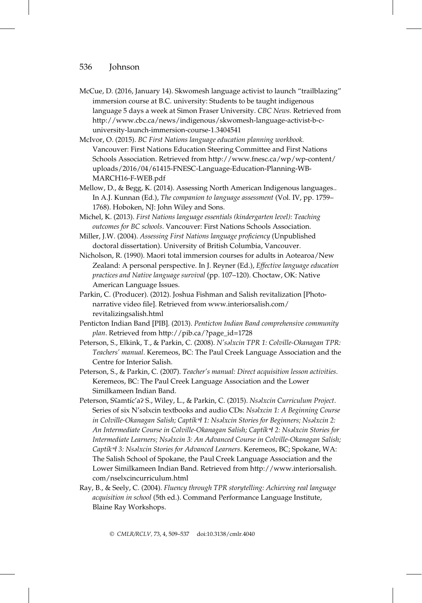- McCue, D. (2016, January 14). Skwomesh language activist to launch "trailblazing" immersion course at B.C. university: Students to be taught indigenous language 5 days a week at Simon Fraser University. CBC News. Retrieved from http://www.cbc.ca/news/indigenous/skwomesh-language-activist-b-cuniversity-launch-immersion-course-1.3404541
- McIvor, O. (2015). BC First Nations language education planning workbook. Vancouver: First Nations Education Steering Committee and First Nations Schools Association. Retrieved from http://www.fnesc.ca/wp/wp-content/ uploads/2016/04/61415-FNESC-Language-Education-Planning-WB-MARCH16-F-WEB.pdf
- Mellow, D., & Begg, K. (2014). Assessing North American Indigenous languages.. In A.J. Kunnan (Ed.), The companion to language assessment (Vol. IV, pp. 1759– 1768). Hoboken, NJ: John Wiley and Sons.
- Michel, K. (2013). First Nations language essentials (kindergarten level): Teaching outcomes for BC schools. Vancouver: First Nations Schools Association.
- Miller, J.W. (2004). Assessing First Nations language proficiency (Unpublished doctoral dissertation). University of British Columbia, Vancouver.
- Nicholson, R. (1990). Maori total immersion courses for adults in Aotearoa/New Zealand: A personal perspective. In J. Reyner (Ed.), Effective language education practices and Native language survival (pp. 107–120). Choctaw, OK: Native American Language Issues.
- Parkin, C. (Producer). (2012). Joshua Fishman and Salish revitalization [Photonarrative video file]. Retrieved from www.interiorsalish.com/ revitalizingsalish.html
- Penticton Indian Band [PIB]. (2013). Penticton Indian Band comprehensive community plan. Retrieved from http://pib.ca/?page\_id=1728
- Peterson, S., Elkink, T., & Parkin, C. (2008). N'səlxcin TPR 1: Colville-Okanagan TPR: Teachers' manual. Keremeos, BC: The Paul Creek Language Association and the Centre for Interior Salish.
- Peterson, S., & Parkin, C. (2007). Teacher's manual: Direct acquisition lesson activities. Keremeos, BC: The Paul Creek Language Association and the Lower Similkameen Indian Band.
- Peterson, SSamtíc'a? S., Wiley, L., & Parkin, C. (2015). Nsalxcin Curriculum Project. Series of six N'səlxcin textbooks and audio CDs: Nsəlxcin 1: A Beginning Course in Colville-Okanagan Salish; Captík<sup>w</sup>l 1: Nsəlxcin Stories for Beginners; Nsəlxcin 2: An Intermediate Course in Colville-Okanagan Salish; Captík vt 2: Nsəlxcin Stories for Intermediate Learners; Nsəlxcin 3: An Advanced Course in Colville-Okanagan Salish; Captík<sup>w</sup>ł 3: Nsəlxcin Stories for Advanced Learners. Keremeos, BC; Spokane, WA: The Salish School of Spokane, the Paul Creek Language Association and the Lower Similkameen Indian Band. Retrieved from http://www.interiorsalish. com/nselxcincurriculum.html
- Ray, B., & Seely, C. (2004). Fluency through TPR storytelling: Achieving real language acquisition in school (5th ed.). Command Performance Language Institute, Blaine Ray Workshops.